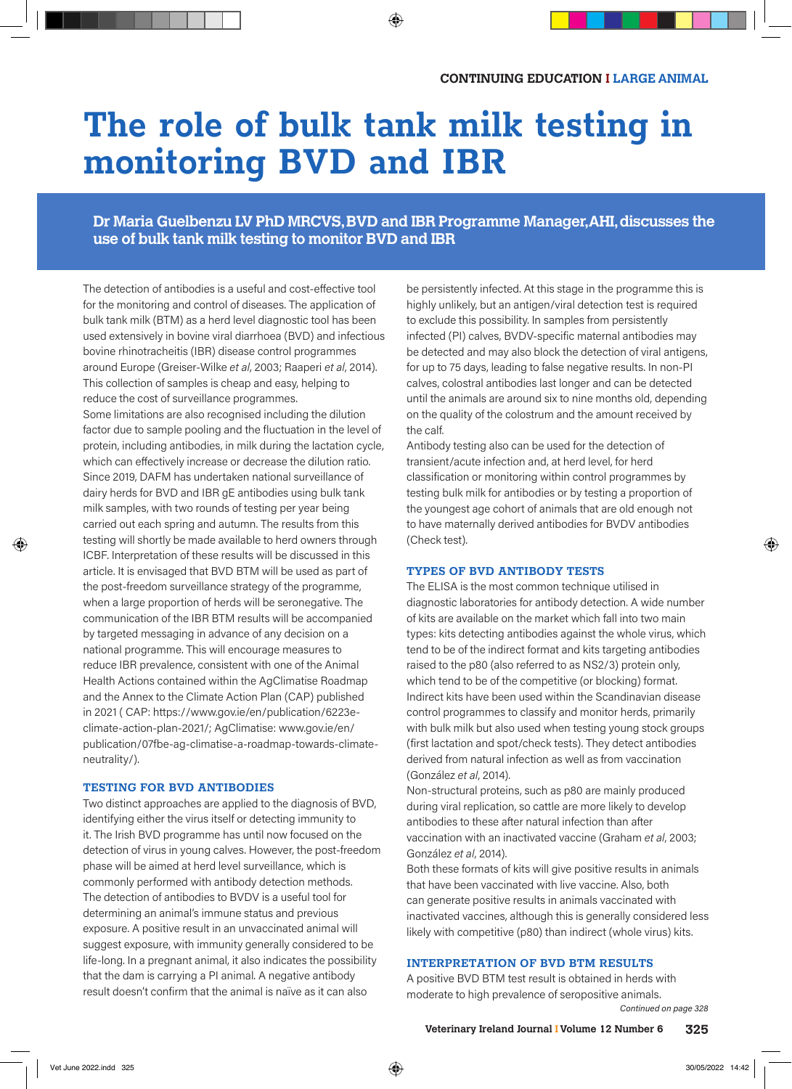# **The role of bulk tank milk testing in monitoring BVD and IBR**

# **Dr Maria Guelbenzu LV PhD MRCVS, BVD and IBR Programme Manager, AHI, discusses the use of bulk tank milk testing to monitor BVD and IBR**

The detection of antibodies is a useful and cost-effective tool for the monitoring and control of diseases. The application of bulk tank milk (BTM) as a herd level diagnostic tool has been used extensively in bovine viral diarrhoea (BVD) and infectious bovine rhinotracheitis (IBR) disease control programmes around Europe (Greiser-Wilke *et al*, 2003; Raaperi *et al*, 2014). This collection of samples is cheap and easy, helping to reduce the cost of surveillance programmes.

Some limitations are also recognised including the dilution factor due to sample pooling and the fluctuation in the level of protein, including antibodies, in milk during the lactation cycle, which can effectively increase or decrease the dilution ratio. Since 2019, DAFM has undertaken national surveillance of dairy herds for BVD and IBR gE antibodies using bulk tank milk samples, with two rounds of testing per year being carried out each spring and autumn. The results from this testing will shortly be made available to herd owners through ICBF. Interpretation of these results will be discussed in this article. It is envisaged that BVD BTM will be used as part of the post-freedom surveillance strategy of the programme, when a large proportion of herds will be seronegative. The communication of the IBR BTM results will be accompanied by targeted messaging in advance of any decision on a national programme. This will encourage measures to reduce IBR prevalence, consistent with one of the Animal Health Actions contained within the AgClimatise Roadmap and the Annex to the Climate Action Plan (CAP) published in 2021 ( CAP: https://www.gov.ie/en/publication/6223eclimate-action-plan-2021/; AgClimatise: www.gov.ie/en/ publication/07fbe-ag-climatise-a-roadmap-towards-climateneutrality/).

### **TESTING FOR BVD ANTIBODIES**

Two distinct approaches are applied to the diagnosis of BVD, identifying either the virus itself or detecting immunity to it. The Irish BVD programme has until now focused on the detection of virus in young calves. However, the post-freedom phase will be aimed at herd level surveillance, which is commonly performed with antibody detection methods. The detection of antibodies to BVDV is a useful tool for determining an animal's immune status and previous exposure. A positive result in an unvaccinated animal will suggest exposure, with immunity generally considered to be life-long. In a pregnant animal, it also indicates the possibility that the dam is carrying a PI animal. A negative antibody result doesn't confirm that the animal is naïve as it can also

be persistently infected. At this stage in the programme this is highly unlikely, but an antigen/viral detection test is required to exclude this possibility. In samples from persistently infected (PI) calves, BVDV-specific maternal antibodies may be detected and may also block the detection of viral antigens, for up to 75 days, leading to false negative results. In non-PI calves, colostral antibodies last longer and can be detected until the animals are around six to nine months old, depending on the quality of the colostrum and the amount received by the calf.

Antibody testing also can be used for the detection of transient/acute infection and, at herd level, for herd classification or monitoring within control programmes by testing bulk milk for antibodies or by testing a proportion of the youngest age cohort of animals that are old enough not to have maternally derived antibodies for BVDV antibodies (Check test).

### **TYPES OF BVD ANTIBODY TESTS**

The ELISA is the most common technique utilised in diagnostic laboratories for antibody detection. A wide number of kits are available on the market which fall into two main types: kits detecting antibodies against the whole virus, which tend to be of the indirect format and kits targeting antibodies raised to the p80 (also referred to as NS2/3) protein only, which tend to be of the competitive (or blocking) format. Indirect kits have been used within the Scandinavian disease control programmes to classify and monitor herds, primarily with bulk milk but also used when testing young stock groups (first lactation and spot/check tests). They detect antibodies derived from natural infection as well as from vaccination (González *et al*, 2014).

Non-structural proteins, such as p80 are mainly produced during viral replication, so cattle are more likely to develop antibodies to these after natural infection than after vaccination with an inactivated vaccine (Graham *et al*, 2003; González *et al*, 2014).

Both these formats of kits will give positive results in animals that have been vaccinated with live vaccine. Also, both can generate positive results in animals vaccinated with inactivated vaccines, although this is generally considered less likely with competitive (p80) than indirect (whole virus) kits.

### **INTERPRETATION OF BVD BTM RESULTS**

A positive BVD BTM test result is obtained in herds with moderate to high prevalence of seropositive animals.

*Continued on page 328*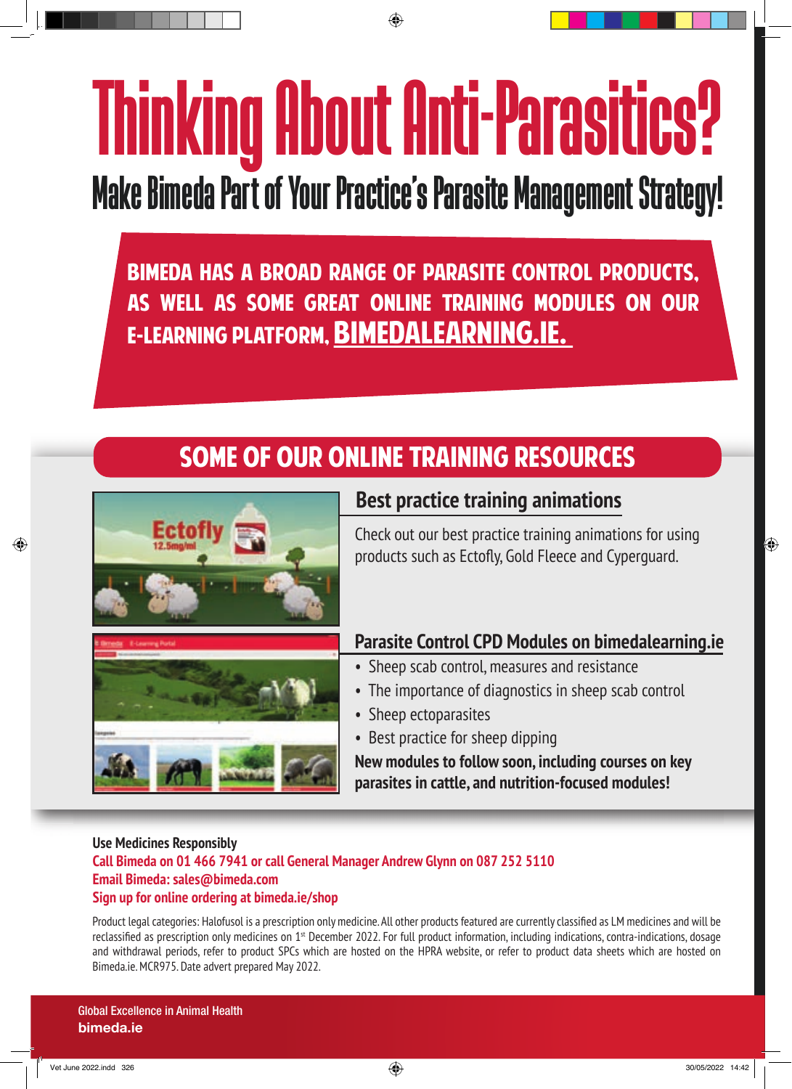# Thinking About Anti-Parasitics? Thinking About Anti-Parasitics?

# Make Bimeda Part of Your Practice's Parasite Management Strategy! Make Bimeda Part of Your Practice's Parasite Management Strategy!

Bimeda has a broad range of parasite control products, Bimeda has a broad range of parasite control products, as well as some great online training modules on our as well as some great online training modules on our **E-LEARNING PLATFORM, BIMEDALEARNING.IE.** 

# Some of our online training resources Some of our online training resources



# **Best practice training animations Best practice training animations**

Check out our best practice training animations for using Check out our best practice training animations for using products such as Ectofly, Gold Fleece and Cyperguard. products such as Ectofly, Gold Fleece and Cyperguard.

# **Parasite Control CPD Modules on bimedalearning.ie Parasite Control CPD Modules on bimedalearning.ie**

- Sheep scab control, measures and resistance Sheep scab control, measures and resistance
- The importance of diagnostics in sheep scab control The importance of diagnostics in sheep scab control
- Sheep ectoparasites Sheep ectoparasites
- Best practice for sheep dipping Best practice for sheep dipping

**New modules to follow soon, including courses on key New modules to follow soon, including courses on key parasites in cattle, and nutrition-focused modules! parasites in cattle, and nutrition-focused modules!**

# **Use Medicines Responsibly Use Medicines Responsibly Call Bimeda on 01 466 7941 or call General Manager Andrew Glynn on 087 252 5110 Call Bimeda on 01 466 7941 or call General Manager Andrew Glynn on 087 252 5110 Email Bimeda: sales@bimeda.com Email Bimeda: sales@bimeda.com Sign up for online ordering at bimeda.ie/shop Sign up for online ordering at bimeda.ie/shop**

Product legal categories: Halofusol is a prescription only medicine. All other products featured are currently classified as LM medicines and will be reclassified as prescription only medicines on 1<sup>st</sup> December 2022. For full product information, including indications, contra-indications, dosage and withdrawal periods, refer to product SPCs which are hosted on the HPRA website, or refer to product data sheets which are hosted on Bimeda.ie. MCR975. Date advert prepared May 2022. Bimeda.ie. MCR975. Date advert prepared May 2022.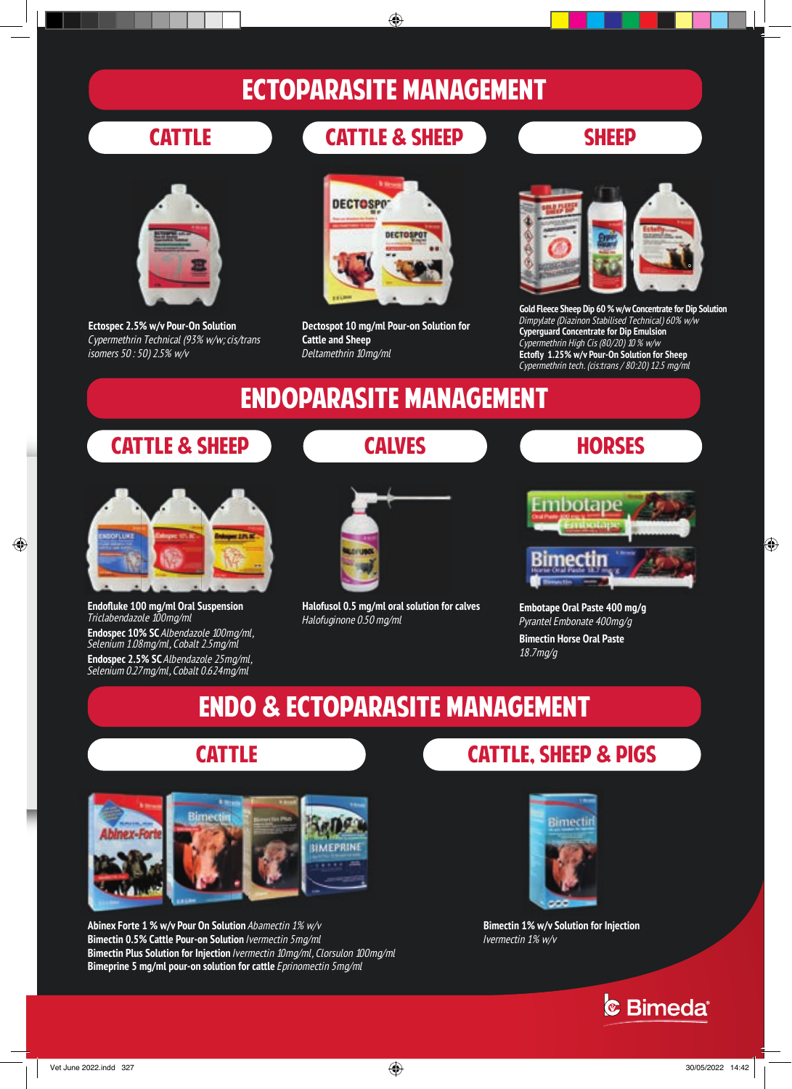# ECTOPARASITE MANAGEMENT ECTOPARASITE MANAGEMENT



**Ectospec 2.5% w/v Pour-On Solution Ectospec 2.5% w/v Pour-On Solution**  *Cypermethrin Technical (93% w/w; cis/trans Cypermethrin Technical (93% w/w; cis/trans isomers 50 : 50) 2.5% w/v isomers 50 : 50) 2.5% w/v*

# cattle cattle & sheep sheep cattle cattle & sheep sheep



**Dectospot 10 mg/ml Pour-on Solution for Dectospot 10 mg/ml Pour-on Solution for Cattle and Sheep Cattle and Sheep** *Deltamethrin 10mg/ml Deltamethrin 10mg/ml*



**Gold Fleece Sheep Dip 60 % w/w Concentrate for Dip Solution Gold Fleece Sheep Dip 60 % w/w Concentrate for Dip Solution** *Dimpylate (Diazinon Stabilised Technical) 60% w/w Dimpylate (Diazinon Stabilised Technical) 60% w/w* **Cyperguard Concentrate for Dip Emulsion Cyperguard Concentrate for Dip Emulsion** *Cypermethrin High Cis (80/20) 10 % w/w* **Ectofly 1.25% w/v Pour-On Solution for Sheep** *Cypermethrin tech. (cis:trans / 80:20) 12.5 mg/ml Cypermethrin tech. (cis:trans / 80:20) 12.5 mg/ml Cypermethrin High Cis (80/20) 10 % w/w* **Ectofly 1.25% w/v Pour-On Solution for Sheep**

# Endoparasite MANAGEMENT Endoparasite MANAGEMENT

# cattle & sheep calves HORSES cattle & sheep calves HORSES



**Endofluke 100 mg/ml Oral Suspension Endofluke 100 mg/ml Oral Suspension** *Triclabendazole 100mg/ml Triclabendazole 100mg/ml* **Endospec 10% SC** *Albendazole 100mg/ml,*  **Endospec 10% SC** *Albendazole 100mg/ml, Selenium 1.08mg/ml, Cobalt 2.5mg/ml Selenium 1.08mg/ml, Cobalt 2.5mg/ml*

**Endospec 2.5% SC** *Albendazole 25mg/ml,*  **Endospec 2.5% SC** *Albendazole 25mg/ml, Selenium 0.27mg/ml, Cobalt 0.624mg/ml Selenium 0.27mg/ml, Cobalt 0.624mg/ml*



**Halofusol 0.5 mg/ml oral solution for calves Halofusol 0.5 mg/ml oral solution for calves**  *Halofuginone 0.50 mg/ml Halofuginone 0.50 mg/ml*



**Embotape Oral Paste 400 mg/g Embotape Oral Paste 400 mg/g**  *Pyrantel Embonate 400mg/g Pyrantel Embonate 400mg/g* **Bimectin Horse Oral Paste Bimectin Horse Oral Paste** *18.7mg/g 18.7mg/g*

# ENDO & ectoPARASITE management ENDO & ectoPARASITE management



**Abinex Forte 1 % w/v Pour On Solution** *Abamectin 1% w/v* **Abinex Forte 1 % w/v Pour On Solution** *Abamectin 1% w/v* **Bimectin 0.5% Cattle Pour-on Solution** *Ivermectin 5mg/ml* **Bimectin 0.5% Cattle Pour-on Solution** *Ivermectin 5mg/ml* **Bimectin Plus Solution for Injection** *Ivermectin 10mg/ml, Clorsulon 100mg/ml* **Bimectin Plus Solution for Injection** *Ivermectin 10mg/ml, Clorsulon 100mg/ml* **Bimeprine 5 mg/ml pour-on solution for cattle** *Eprinomectin 5mg/ml* **Bimeprine 5 mg/ml pour-on solution for cattle** *Eprinomectin 5mg/ml*

# cattle cattle, sheep & PIGS cattle cattle, sheep & PIGS



**Bimectin 1% w/v Solution for Injection Bimectin 1% w/v Solution for Injection** *Ivermectin 1% w/v Ivermectin 1% w/v*

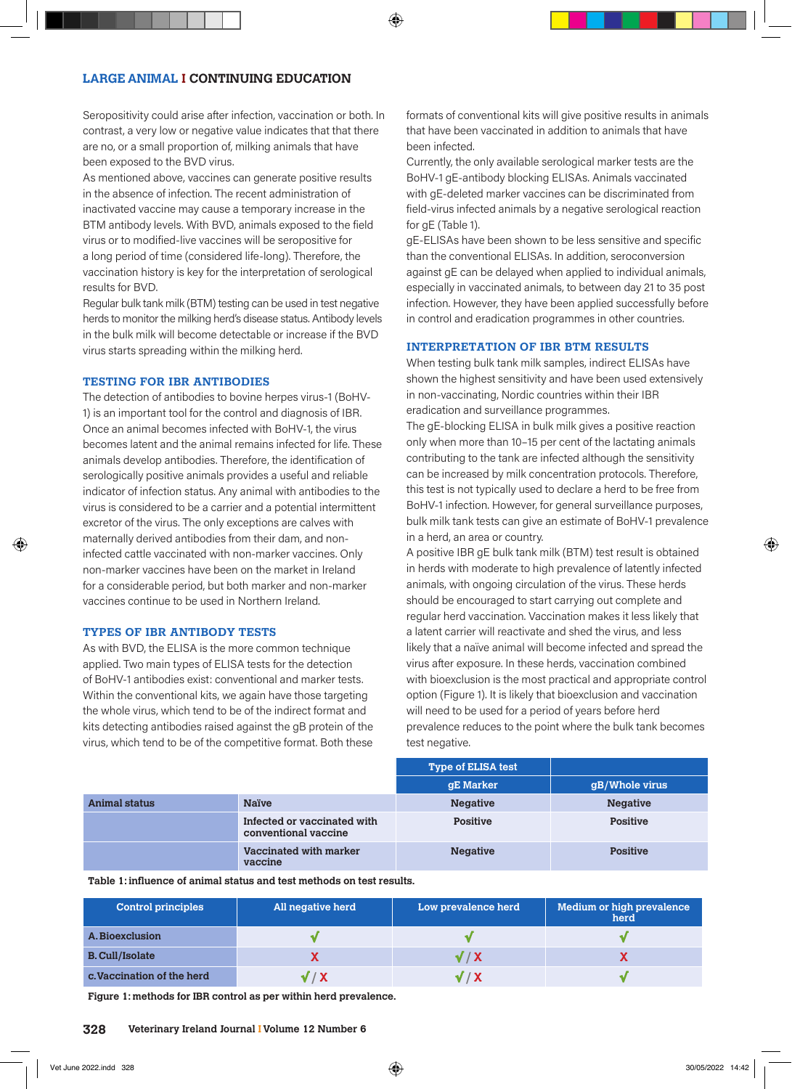## **LARGE ANIMAL I CONTINUING EDUCATION**

Seropositivity could arise after infection, vaccination or both. In contrast, a very low or negative value indicates that that there are no, or a small proportion of, milking animals that have been exposed to the BVD virus.

As mentioned above, vaccines can generate positive results in the absence of infection. The recent administration of inactivated vaccine may cause a temporary increase in the BTM antibody levels. With BVD, animals exposed to the field virus or to modified-live vaccines will be seropositive for a long period of time (considered life-long). Therefore, the vaccination history is key for the interpretation of serological results for BVD.

Regular bulk tank milk (BTM) testing can be used in test negative herds to monitor the milking herd's disease status. Antibody levels in the bulk milk will become detectable or increase if the BVD virus starts spreading within the milking herd.

### **TESTING FOR IBR ANTIBODIES**

The detection of antibodies to bovine herpes virus-1 (BoHV-1) is an important tool for the control and diagnosis of IBR. Once an animal becomes infected with BoHV-1, the virus becomes latent and the animal remains infected for life. These animals develop antibodies. Therefore, the identification of serologically positive animals provides a useful and reliable indicator of infection status. Any animal with antibodies to the virus is considered to be a carrier and a potential intermittent excretor of the virus. The only exceptions are calves with maternally derived antibodies from their dam, and noninfected cattle vaccinated with non-marker vaccines. Only non-marker vaccines have been on the market in Ireland for a considerable period, but both marker and non-marker vaccines continue to be used in Northern Ireland.

### **TYPES OF IBR ANTIBODY TESTS**

As with BVD, the ELISA is the more common technique applied. Two main types of ELISA tests for the detection of BoHV-1 antibodies exist: conventional and marker tests. Within the conventional kits, we again have those targeting the whole virus, which tend to be of the indirect format and kits detecting antibodies raised against the gB protein of the virus, which tend to be of the competitive format. Both these

formats of conventional kits will give positive results in animals that have been vaccinated in addition to animals that have been infected.

Currently, the only available serological marker tests are the BoHV-1 gE-antibody blocking ELISAs. Animals vaccinated with gE-deleted marker vaccines can be discriminated from field-virus infected animals by a negative serological reaction for gE (Table 1).

gE-ELISAs have been shown to be less sensitive and specific than the conventional ELISAs. In addition, seroconversion against gE can be delayed when applied to individual animals, especially in vaccinated animals, to between day 21 to 35 post infection. However, they have been applied successfully before in control and eradication programmes in other countries.

### **INTERPRETATION OF IBR BTM RESULTS**

When testing bulk tank milk samples, indirect ELISAs have shown the highest sensitivity and have been used extensively in non-vaccinating, Nordic countries within their IBR eradication and surveillance programmes.

The gE-blocking ELISA in bulk milk gives a positive reaction only when more than 10–15 per cent of the lactating animals contributing to the tank are infected although the sensitivity can be increased by milk concentration protocols. Therefore, this test is not typically used to declare a herd to be free from BoHV-1 infection. However, for general surveillance purposes, bulk milk tank tests can give an estimate of BoHV-1 prevalence in a herd, an area or country.

A positive IBR gE bulk tank milk (BTM) test result is obtained in herds with moderate to high prevalence of latently infected animals, with ongoing circulation of the virus. These herds should be encouraged to start carrying out complete and regular herd vaccination. Vaccination makes it less likely that a latent carrier will reactivate and shed the virus, and less likely that a naïve animal will become infected and spread the virus after exposure. In these herds, vaccination combined with bioexclusion is the most practical and appropriate control option (Figure 1). It is likely that bioexclusion and vaccination will need to be used for a period of years before herd prevalence reduces to the point where the bulk tank becomes test negative.

|                      |                                                     | <b>Type of ELISA test</b> |                 |
|----------------------|-----------------------------------------------------|---------------------------|-----------------|
|                      |                                                     | gE Marker                 | gB/Whole virus  |
| <b>Animal status</b> | <b>Naïve</b>                                        | <b>Negative</b>           | <b>Negative</b> |
|                      | Infected or vaccinated with<br>conventional vaccine | <b>Positive</b>           | <b>Positive</b> |
|                      | Vaccinated with marker<br>vaccine                   | <b>Negative</b>           | <b>Positive</b> |

**Table 1: influence of animal status and test methods on test results.**

| <b>Control principles</b>  | All negative herd | Low prevalence herd | Medium or high prevalence<br>herd |
|----------------------------|-------------------|---------------------|-----------------------------------|
| A. Bioexclusion            |                   |                     |                                   |
| <b>B. Cull/Isolate</b>     |                   | √ / X               |                                   |
| c. Vaccination of the herd |                   | V / X               |                                   |

**Figure 1: methods for IBR control as per within herd prevalence.**